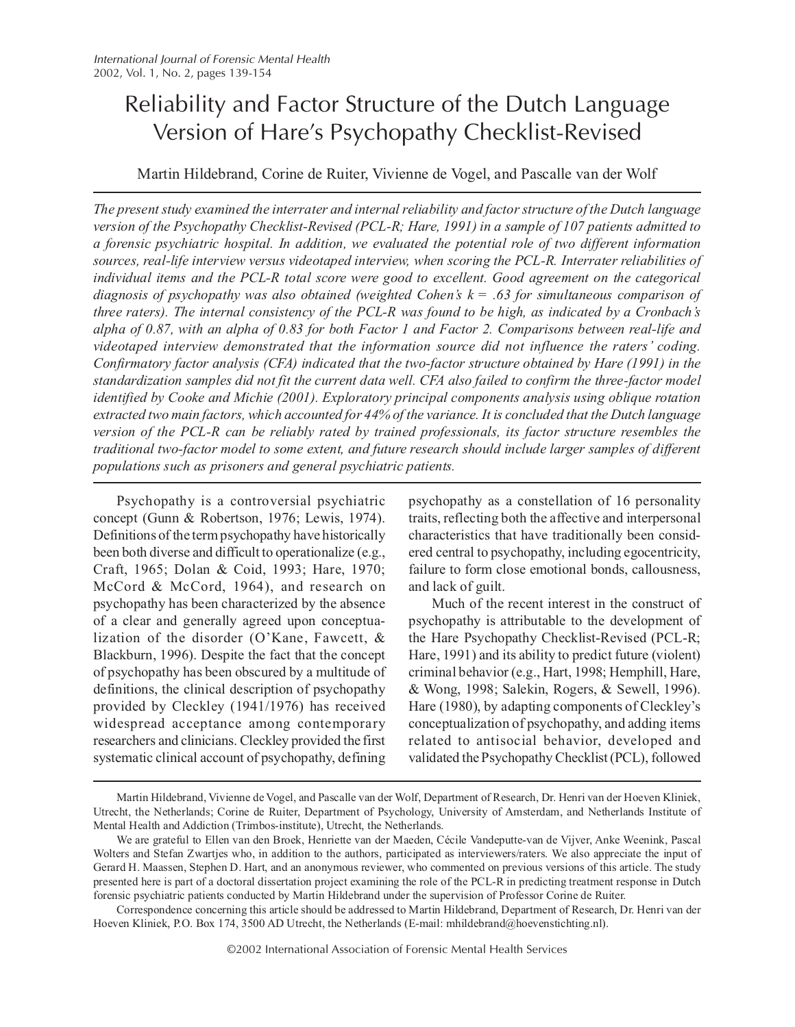# Reliability and Factor Structure of the Dutch Language Version of Hare's Psychopathy Checklist-Revised

Martin Hildebrand, Corine de Ruiter, Vivienne de Vogel, and Pascalle van der Wolf

*The present study examined the interrater and internal reliability and factor structure of the Dutch language version of the Psychopathy Checklist-Revised (PCL-R; Hare, 1991) in a sample of 107 patients admitted to a forensic psychiatric hospital. In addition, we evaluated the potential role of two different information sources, real-life interview versus videotaped interview, when scoring the PCL-R. Interrater reliabilities of individual items and the PCL-R total score were good to excellent. Good agreement on the categorical diagnosis of psychopathy was also obtained (weighted Cohen's k = .63 for simultaneous comparison of three raters). The internal consistency of the PCL-R was found to be high, as indicated by a Cronbach's alpha of 0.87, with an alpha of 0.83 for both Factor 1 and Factor 2. Comparisons between real-life and videotaped interview demonstrated that the information source did not influence the raters' coding. Confirmatory factor analysis (CFA) indicated that the two-factor structure obtained by Hare (1991) in the standardization samples did not fit the current data well. CFA also failed to confirm the three-factor model identified by Cooke and Michie (2001). Exploratory principal components analysis using oblique rotation extracted two main factors, which accounted for 44% of the variance. It is concluded that the Dutch language version of the PCL-R can be reliably rated by trained professionals, its factor structure resembles the traditional two-factor model to some extent, and future research should include larger samples of different populations such as prisoners and general psychiatric patients.*

Psychopathy is a controversial psychiatric concept (Gunn & Robertson, 1976; Lewis, 1974). Definitions of the term psychopathy have historically been both diverse and difficult to operationalize (e.g., Craft, 1965; Dolan & Coid, 1993; Hare, 1970; McCord & McCord, 1964), and research on psychopathy has been characterized by the absence of a clear and generally agreed upon conceptualization of the disorder (O'Kane, Fawcett, & Blackburn, 1996). Despite the fact that the concept of psychopathy has been obscured by a multitude of definitions, the clinical description of psychopathy provided by Cleckley (1941/1976) has received widespread acceptance among contemporary researchers and clinicians. Cleckley provided the first systematic clinical account of psychopathy, defining

psychopathy as a constellation of 16 personality traits, reflecting both the affective and interpersonal characteristics that have traditionally been considered central to psychopathy, including egocentricity, failure to form close emotional bonds, callousness, and lack of guilt.

Much of the recent interest in the construct of psychopathy is attributable to the development of the Hare Psychopathy Checklist-Revised (PCL-R; Hare, 1991) and its ability to predict future (violent) criminal behavior (e.g., Hart, 1998; Hemphill, Hare, & Wong, 1998; Salekin, Rogers, & Sewell, 1996). Hare (1980), by adapting components of Cleckley's conceptualization of psychopathy, and adding items related to antisocial behavior, developed and validated the Psychopathy Checklist (PCL), followed

Martin Hildebrand, Vivienne de Vogel, and Pascalle van der Wolf, Department of Research, Dr. Henri van der Hoeven Kliniek, Utrecht, the Netherlands; Corine de Ruiter, Department of Psychology, University of Amsterdam, and Netherlands Institute of Mental Health and Addiction (Trimbos-institute), Utrecht, the Netherlands.

We are grateful to Ellen van den Broek, Henriette van der Maeden, Cécile Vandeputte-van de Vijver, Anke Weenink, Pascal Wolters and Stefan Zwartjes who, in addition to the authors, participated as interviewers/raters. We also appreciate the input of Gerard H. Maassen, Stephen D. Hart, and an anonymous reviewer, who commented on previous versions of this article. The study presented here is part of a doctoral dissertation project examining the role of the PCL-R in predicting treatment response in Dutch forensic psychiatric patients conducted by Martin Hildebrand under the supervision of Professor Corine de Ruiter.

Correspondence concerning this article should be addressed to Martin Hildebrand, Department of Research, Dr. Henri van der Hoeven Kliniek, P.O. Box 174, 3500 AD Utrecht, the Netherlands (E-mail: mhildebrand@hoevenstichting.nl).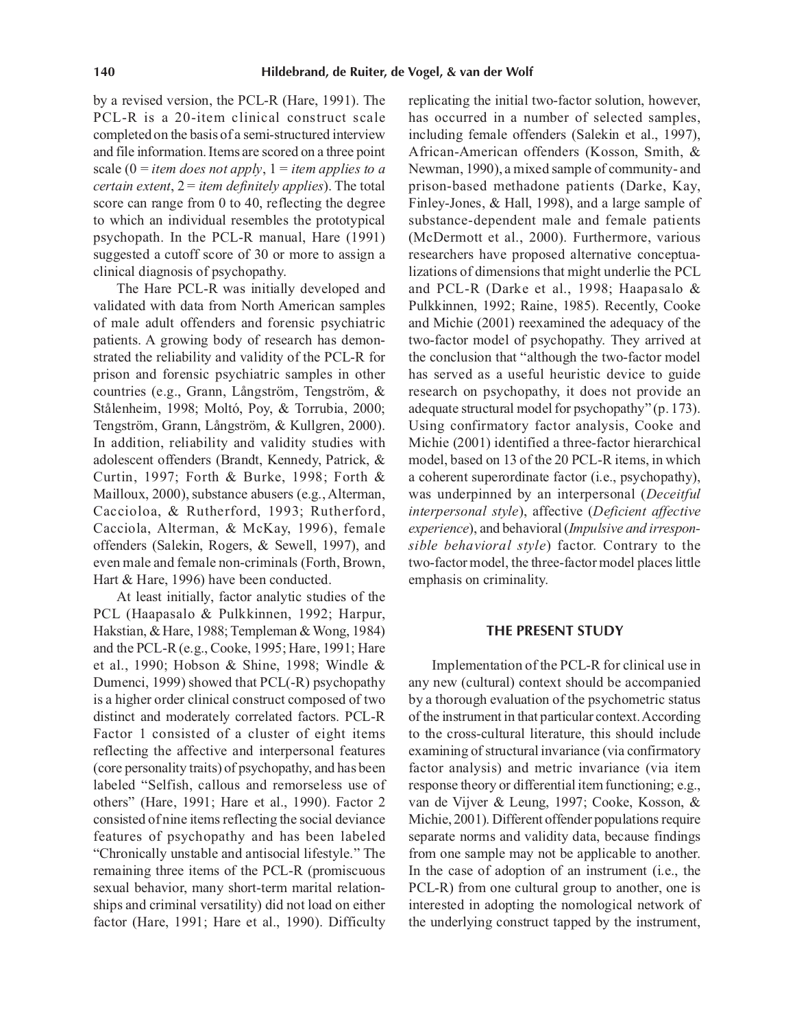by a revised version, the PCL-R (Hare, 1991). The PCL-R is a 20-item clinical construct scale completed on the basis of a semi-structured interview and file information. Items are scored on a three point scale (0 = *item does not apply*, 1 = *item applies to a certain extent*, 2 = *item definitely applies*). The total score can range from 0 to 40, reflecting the degree to which an individual resembles the prototypical psychopath. In the PCL-R manual, Hare (1991) suggested a cutoff score of 30 or more to assign a clinical diagnosis of psychopathy.

The Hare PCL-R was initially developed and validated with data from North American samples of male adult offenders and forensic psychiatric patients. A growing body of research has demonstrated the reliability and validity of the PCL-R for prison and forensic psychiatric samples in other countries (e.g., Grann, Långström, Tengström, & Stålenheim, 1998; Moltó, Poy, & Torrubia, 2000; Tengström, Grann, Långström, & Kullgren, 2000). In addition, reliability and validity studies with adolescent offenders (Brandt, Kennedy, Patrick, & Curtin, 1997; Forth & Burke, 1998; Forth & Mailloux, 2000), substance abusers (e.g., Alterman, Caccioloa, & Rutherford, 1993; Rutherford, Cacciola, Alterman, & McKay, 1996), female offenders (Salekin, Rogers, & Sewell, 1997), and even male and female non-criminals (Forth, Brown, Hart & Hare, 1996) have been conducted.

At least initially, factor analytic studies of the PCL (Haapasalo & Pulkkinnen, 1992; Harpur, Hakstian, & Hare, 1988; Templeman & Wong, 1984) and the PCL-R (e.g., Cooke, 1995; Hare, 1991; Hare et al., 1990; Hobson & Shine, 1998; Windle & Dumenci, 1999) showed that PCL(-R) psychopathy is a higher order clinical construct composed of two distinct and moderately correlated factors. PCL-R Factor 1 consisted of a cluster of eight items reflecting the affective and interpersonal features (core personality traits) of psychopathy, and has been labeled "Selfish, callous and remorseless use of others" (Hare, 1991; Hare et al., 1990). Factor 2 consisted of nine items reflecting the social deviance features of psychopathy and has been labeled "Chronically unstable and antisocial lifestyle." The remaining three items of the PCL-R (promiscuous sexual behavior, many short-term marital relationships and criminal versatility) did not load on either factor (Hare, 1991; Hare et al., 1990). Difficulty replicating the initial two-factor solution, however, has occurred in a number of selected samples, including female offenders (Salekin et al., 1997), African-American offenders (Kosson, Smith, & Newman, 1990), a mixed sample of community- and prison-based methadone patients (Darke, Kay, Finley-Jones, & Hall, 1998), and a large sample of substance-dependent male and female patients (McDermott et al., 2000). Furthermore, various researchers have proposed alternative conceptualizations of dimensions that might underlie the PCL and PCL-R (Darke et al., 1998; Haapasalo & Pulkkinnen, 1992; Raine, 1985). Recently, Cooke and Michie (2001) reexamined the adequacy of the two-factor model of psychopathy. They arrived at the conclusion that "although the two-factor model has served as a useful heuristic device to guide research on psychopathy, it does not provide an adequate structural model for psychopathy" (p. 173). Using confirmatory factor analysis, Cooke and Michie (2001) identified a three-factor hierarchical model, based on 13 of the 20 PCL-R items, in which a coherent superordinate factor (i.e., psychopathy), was underpinned by an interpersonal (*Deceitful interpersonal style*), affective (*Deficient affective experience*), and behavioral (*Impulsive and irresponsible behavioral style*) factor. Contrary to the two-factor model, the three-factor model places little emphasis on criminality.

## **THE PRESENT STUDY**

Implementation of the PCL-R for clinical use in any new (cultural) context should be accompanied by a thorough evaluation of the psychometric status of the instrument in that particular context. According to the cross-cultural literature, this should include examining of structural invariance (via confirmatory factor analysis) and metric invariance (via item response theory or differential item functioning; e.g., van de Vijver & Leung, 1997; Cooke, Kosson, & Michie, 2001). Different offender populations require separate norms and validity data, because findings from one sample may not be applicable to another. In the case of adoption of an instrument (i.e., the PCL-R) from one cultural group to another, one is interested in adopting the nomological network of the underlying construct tapped by the instrument,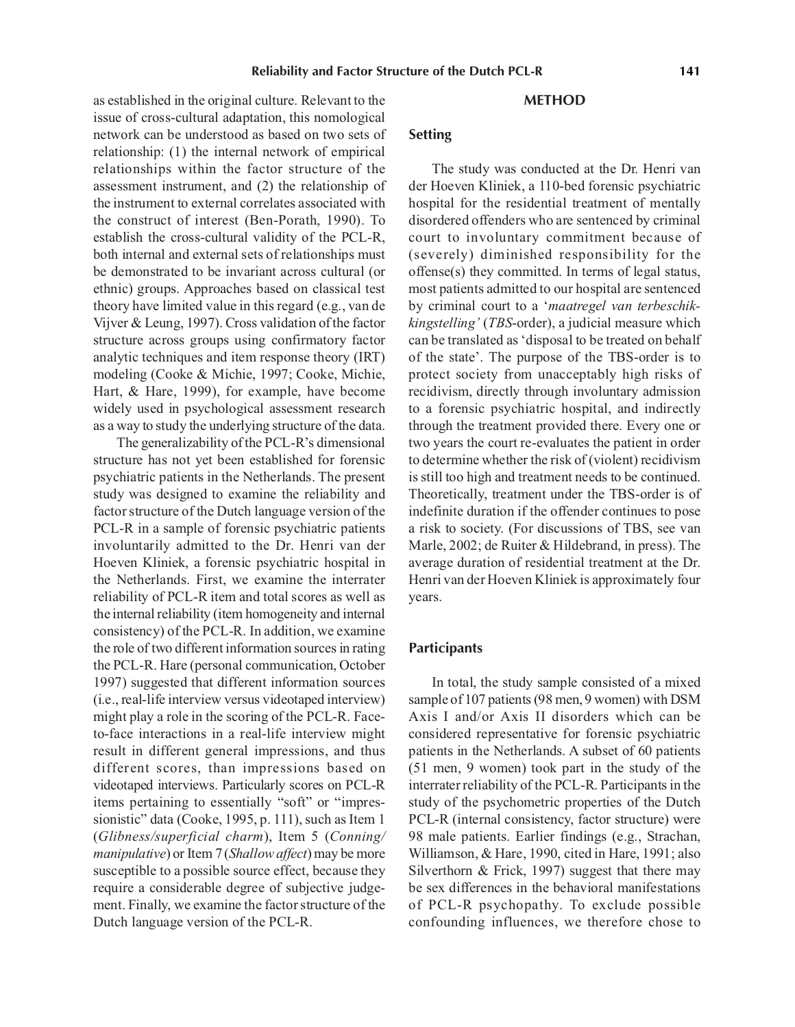#### **METHOD**

# **Setting**

The study was conducted at the Dr. Henri van der Hoeven Kliniek, a 110-bed forensic psychiatric hospital for the residential treatment of mentally disordered offenders who are sentenced by criminal court to involuntary commitment because of (severely) diminished responsibility for the offense(s) they committed. In terms of legal status, most patients admitted to our hospital are sentenced by criminal court to a '*maatregel van terbeschikkingstelling'* (*TBS*-order), a judicial measure which can be translated as 'disposal to be treated on behalf of the state'. The purpose of the TBS-order is to protect society from unacceptably high risks of recidivism, directly through involuntary admission to a forensic psychiatric hospital, and indirectly through the treatment provided there. Every one or two years the court re-evaluates the patient in order to determine whether the risk of (violent) recidivism is still too high and treatment needs to be continued. Theoretically, treatment under the TBS-order is of indefinite duration if the offender continues to pose a risk to society. (For discussions of TBS, see van Marle, 2002; de Ruiter & Hildebrand, in press). The average duration of residential treatment at the Dr. Henri van der Hoeven Kliniek is approximately four years.

# **Participants**

In total, the study sample consisted of a mixed sample of 107 patients (98 men, 9 women) with DSM Axis I and/or Axis II disorders which can be considered representative for forensic psychiatric patients in the Netherlands. A subset of 60 patients (51 men, 9 women) took part in the study of the interrater reliability of the PCL-R. Participants in the study of the psychometric properties of the Dutch PCL-R (internal consistency, factor structure) were 98 male patients. Earlier findings (e.g., Strachan, Williamson, & Hare, 1990, cited in Hare, 1991; also Silverthorn & Frick, 1997) suggest that there may be sex differences in the behavioral manifestations of PCL-R psychopathy. To exclude possible confounding influences, we therefore chose to

as established in the original culture. Relevant to the issue of cross-cultural adaptation, this nomological network can be understood as based on two sets of relationship: (1) the internal network of empirical relationships within the factor structure of the assessment instrument, and (2) the relationship of the instrument to external correlates associated with the construct of interest (Ben-Porath, 1990). To establish the cross-cultural validity of the PCL-R, both internal and external sets of relationships must be demonstrated to be invariant across cultural (or ethnic) groups. Approaches based on classical test theory have limited value in this regard (e.g., van de Vijver & Leung, 1997). Cross validation of the factor structure across groups using confirmatory factor analytic techniques and item response theory (IRT) modeling (Cooke & Michie, 1997; Cooke, Michie, Hart, & Hare, 1999), for example, have become widely used in psychological assessment research as a way to study the underlying structure of the data.

The generalizability of the PCL-R's dimensional structure has not yet been established for forensic psychiatric patients in the Netherlands. The present study was designed to examine the reliability and factor structure of the Dutch language version of the PCL-R in a sample of forensic psychiatric patients involuntarily admitted to the Dr. Henri van der Hoeven Kliniek, a forensic psychiatric hospital in the Netherlands. First, we examine the interrater reliability of PCL-R item and total scores as well as the internal reliability (item homogeneity and internal consistency) of the PCL-R. In addition, we examine the role of two different information sources in rating the PCL-R. Hare (personal communication, October 1997) suggested that different information sources (i.e., real-life interview versus videotaped interview) might play a role in the scoring of the PCL-R. Faceto-face interactions in a real-life interview might result in different general impressions, and thus different scores, than impressions based on videotaped interviews. Particularly scores on PCL-R items pertaining to essentially "soft" or "impressionistic" data (Cooke, 1995, p. 111), such as Item 1 (*Glibness/superficial charm*), Item 5 (*Conning/ manipulative*) or Item 7 (*Shallow affect*) may be more susceptible to a possible source effect, because they require a considerable degree of subjective judgement. Finally, we examine the factor structure of the Dutch language version of the PCL-R.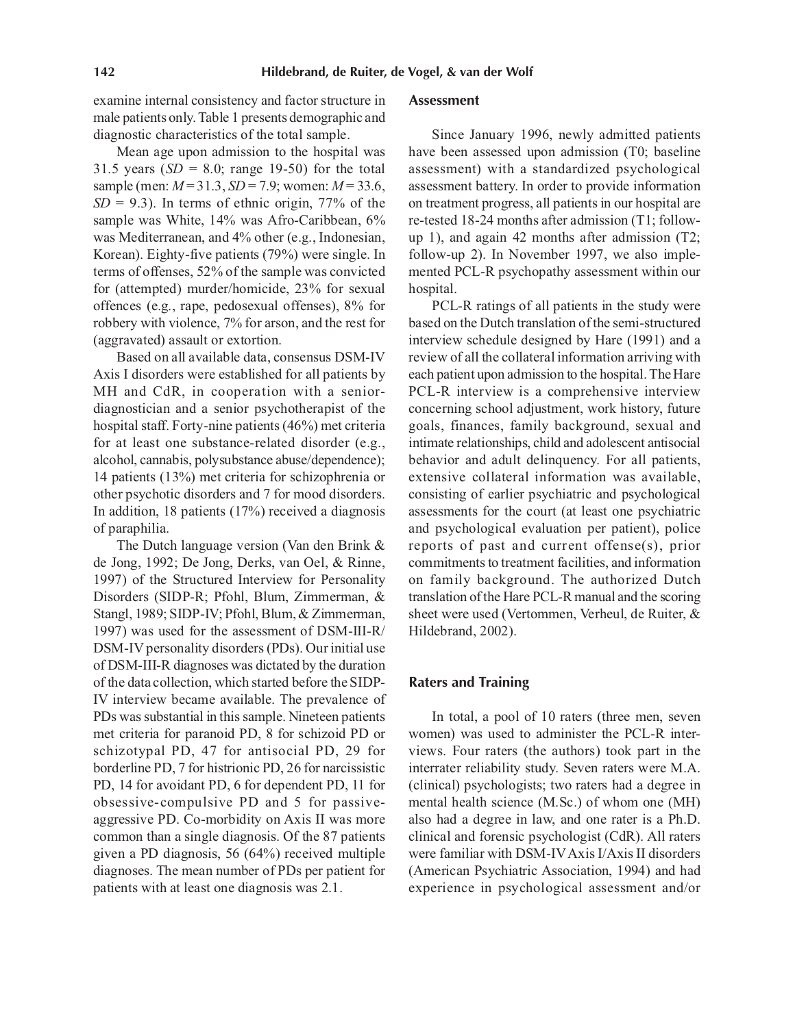examine internal consistency and factor structure in male patients only. Table 1 presents demographic and diagnostic characteristics of the total sample.

Mean age upon admission to the hospital was 31.5 years  $(SD = 8.0; \text{ range } 19-50)$  for the total sample (men: *M* = 31.3, *SD* = 7.9; women: *M* = 33.6,  $SD = 9.3$ ). In terms of ethnic origin, 77% of the sample was White, 14% was Afro-Caribbean, 6% was Mediterranean, and 4% other (e.g., Indonesian, Korean). Eighty-five patients (79%) were single. In terms of offenses, 52% of the sample was convicted for (attempted) murder/homicide, 23% for sexual offences (e.g., rape, pedosexual offenses), 8% for robbery with violence, 7% for arson, and the rest for (aggravated) assault or extortion.

Based on all available data, consensus DSM-IV Axis I disorders were established for all patients by MH and CdR, in cooperation with a seniordiagnostician and a senior psychotherapist of the hospital staff. Forty-nine patients (46%) met criteria for at least one substance-related disorder (e.g., alcohol, cannabis, polysubstance abuse/dependence); 14 patients (13%) met criteria for schizophrenia or other psychotic disorders and 7 for mood disorders. In addition, 18 patients (17%) received a diagnosis of paraphilia.

The Dutch language version (Van den Brink & de Jong, 1992; De Jong, Derks, van Oel, & Rinne, 1997) of the Structured Interview for Personality Disorders (SIDP-R; Pfohl, Blum, Zimmerman, & Stangl, 1989; SIDP-IV; Pfohl, Blum, & Zimmerman, 1997) was used for the assessment of DSM-III-R/ DSM-IV personality disorders (PDs). Our initial use of DSM-III-R diagnoses was dictated by the duration of the data collection, which started before the SIDP-IV interview became available. The prevalence of PDs was substantial in this sample. Nineteen patients met criteria for paranoid PD, 8 for schizoid PD or schizotypal PD, 47 for antisocial PD, 29 for borderline PD, 7 for histrionic PD, 26 for narcissistic PD, 14 for avoidant PD, 6 for dependent PD, 11 for obsessive-compulsive PD and 5 for passiveaggressive PD. Co-morbidity on Axis II was more common than a single diagnosis. Of the 87 patients given a PD diagnosis, 56 (64%) received multiple diagnoses. The mean number of PDs per patient for patients with at least one diagnosis was 2.1.

## **Assessment**

Since January 1996, newly admitted patients have been assessed upon admission (T0; baseline assessment) with a standardized psychological assessment battery. In order to provide information on treatment progress, all patients in our hospital are re-tested 18-24 months after admission (T1; followup 1), and again 42 months after admission (T2; follow-up 2). In November 1997, we also implemented PCL-R psychopathy assessment within our hospital.

PCL-R ratings of all patients in the study were based on the Dutch translation of the semi-structured interview schedule designed by Hare (1991) and a review of all the collateral information arriving with each patient upon admission to the hospital. The Hare PCL-R interview is a comprehensive interview concerning school adjustment, work history, future goals, finances, family background, sexual and intimate relationships, child and adolescent antisocial behavior and adult delinquency. For all patients, extensive collateral information was available, consisting of earlier psychiatric and psychological assessments for the court (at least one psychiatric and psychological evaluation per patient), police reports of past and current offense(s), prior commitments to treatment facilities, and information on family background. The authorized Dutch translation of the Hare PCL-R manual and the scoring sheet were used (Vertommen, Verheul, de Ruiter, & Hildebrand, 2002).

#### **Raters and Training**

In total, a pool of 10 raters (three men, seven women) was used to administer the PCL-R interviews. Four raters (the authors) took part in the interrater reliability study. Seven raters were M.A. (clinical) psychologists; two raters had a degree in mental health science (M.Sc.) of whom one (MH) also had a degree in law, and one rater is a Ph.D. clinical and forensic psychologist (CdR). All raters were familiar with DSM-IV Axis I/Axis II disorders (American Psychiatric Association, 1994) and had experience in psychological assessment and/or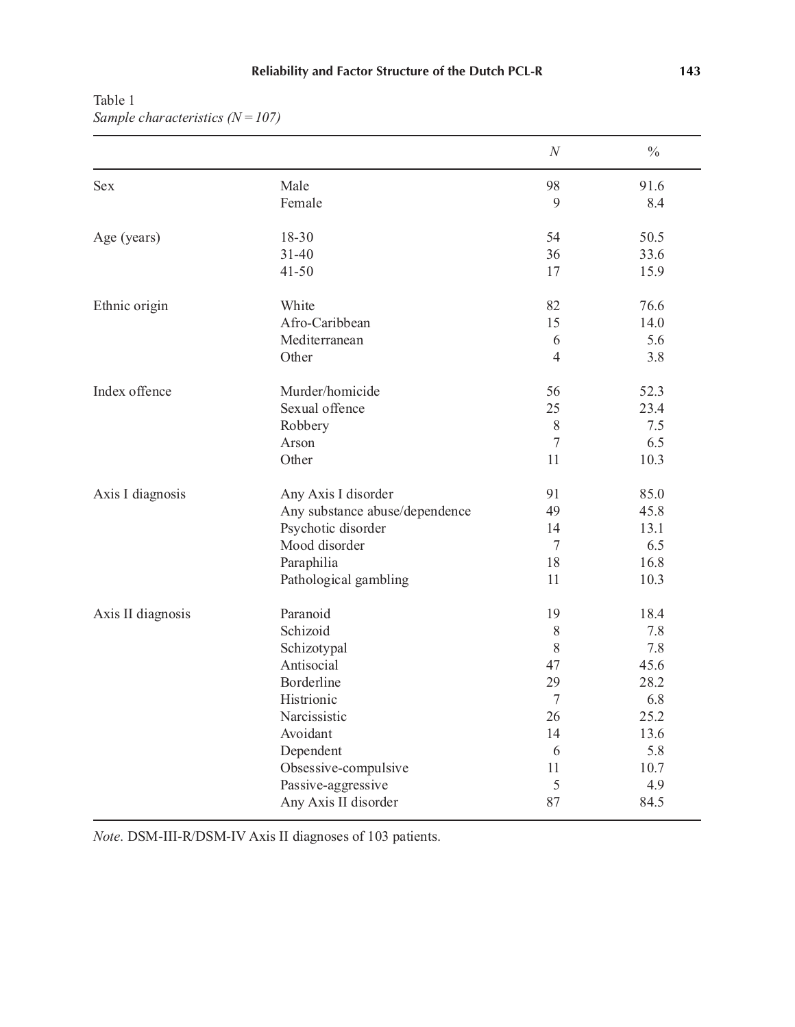|                   |                                | $\boldsymbol{N}$ | $\frac{0}{0}$ |
|-------------------|--------------------------------|------------------|---------------|
| <b>Sex</b>        | Male                           | 98               | 91.6          |
|                   | Female                         | 9                | 8.4           |
| Age (years)       | 18-30                          | 54               | 50.5          |
|                   | $31 - 40$                      | 36               | 33.6          |
|                   | $41 - 50$                      | 17               | 15.9          |
| Ethnic origin     | White                          | 82               | 76.6          |
|                   | Afro-Caribbean                 | 15               | 14.0          |
|                   | Mediterranean                  | 6                | 5.6           |
|                   | Other                          | 4                | 3.8           |
| Index offence     | Murder/homicide                | 56               | 52.3          |
|                   | Sexual offence                 | 25               | 23.4          |
|                   | Robbery                        | 8                | 7.5           |
|                   | Arson                          | $\overline{7}$   | 6.5           |
|                   | Other                          | 11               | 10.3          |
| Axis I diagnosis  | Any Axis I disorder            | 91               | 85.0          |
|                   | Any substance abuse/dependence | 49               | 45.8          |
|                   | Psychotic disorder             | 14               | 13.1          |
|                   | Mood disorder                  | $\overline{7}$   | 6.5           |
|                   | Paraphilia                     | 18               | 16.8          |
|                   | Pathological gambling          | 11               | 10.3          |
| Axis II diagnosis | Paranoid                       | 19               | 18.4          |
|                   | Schizoid                       | $8\,$            | 7.8           |
|                   | Schizotypal                    | 8                | 7.8           |
|                   | Antisocial                     | 47               | 45.6          |
|                   | Borderline                     | 29               | 28.2          |
|                   | Histrionic                     | $\overline{7}$   | 6.8           |
|                   | Narcissistic                   | 26               | 25.2          |
|                   | Avoidant                       | 14               | 13.6          |
|                   | Dependent                      | 6                | 5.8           |
|                   | Obsessive-compulsive           | 11               | 10.7          |
|                   | Passive-aggressive             | 5                | 4.9           |
|                   | Any Axis II disorder           | 87               | 84.5          |

Table 1 *Sample characteristics (N =107)*

*Note*. DSM-III-R/DSM-IV Axis II diagnoses of 103 patients.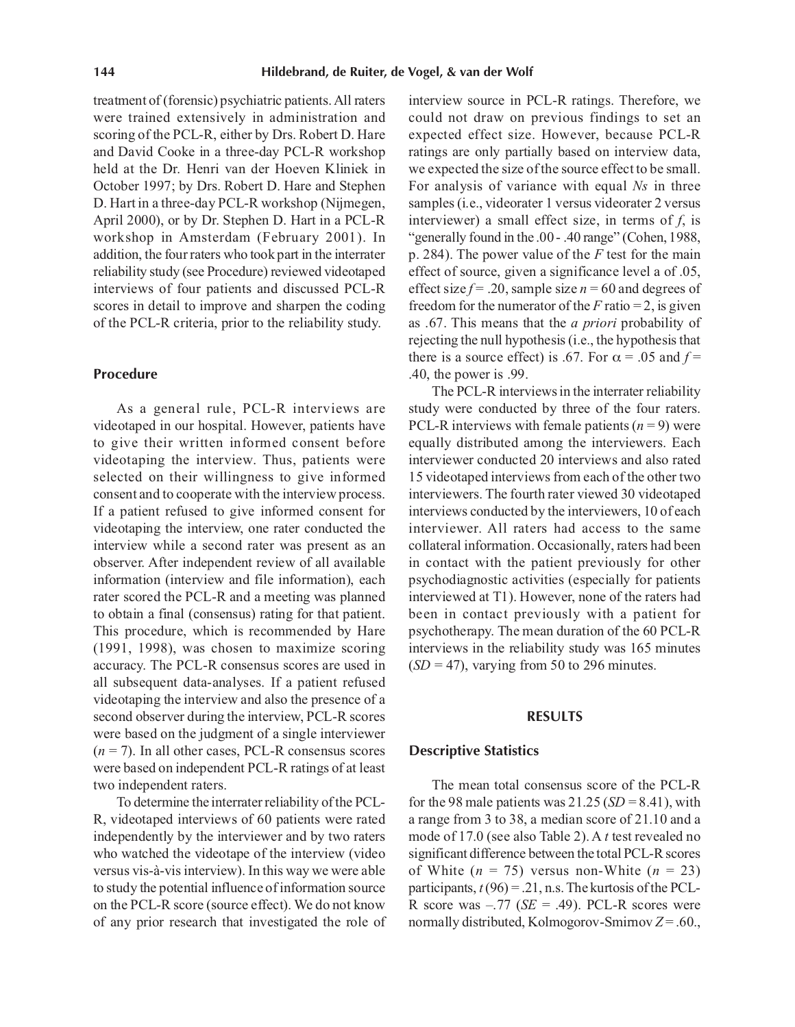treatment of (forensic) psychiatric patients. All raters were trained extensively in administration and scoring of the PCL-R, either by Drs. Robert D. Hare and David Cooke in a three-day PCL-R workshop held at the Dr. Henri van der Hoeven Kliniek in October 1997; by Drs. Robert D. Hare and Stephen D. Hart in a three-day PCL-R workshop (Nijmegen, April 2000), or by Dr. Stephen D. Hart in a PCL-R workshop in Amsterdam (February 2001). In addition, the four raters who took part in the interrater reliability study (see Procedure) reviewed videotaped interviews of four patients and discussed PCL-R scores in detail to improve and sharpen the coding of the PCL-R criteria, prior to the reliability study.

## **Procedure**

As a general rule, PCL-R interviews are videotaped in our hospital. However, patients have to give their written informed consent before videotaping the interview. Thus, patients were selected on their willingness to give informed consent and to cooperate with the interview process. If a patient refused to give informed consent for videotaping the interview, one rater conducted the interview while a second rater was present as an observer. After independent review of all available information (interview and file information), each rater scored the PCL-R and a meeting was planned to obtain a final (consensus) rating for that patient. This procedure, which is recommended by Hare (1991, 1998), was chosen to maximize scoring accuracy. The PCL-R consensus scores are used in all subsequent data-analyses. If a patient refused videotaping the interview and also the presence of a second observer during the interview, PCL-R scores were based on the judgment of a single interviewer  $(n = 7)$ . In all other cases, PCL-R consensus scores were based on independent PCL-R ratings of at least two independent raters.

To determine the interrater reliability of the PCL-R, videotaped interviews of 60 patients were rated independently by the interviewer and by two raters who watched the videotape of the interview (video versus vis-à-vis interview). In this way we were able to study the potential influence of information source on the PCL-R score (source effect). We do not know of any prior research that investigated the role of interview source in PCL-R ratings. Therefore, we could not draw on previous findings to set an expected effect size. However, because PCL-R ratings are only partially based on interview data, we expected the size of the source effect to be small. For analysis of variance with equal *Ns* in three samples (i.e., videorater 1 versus videorater 2 versus interviewer) a small effect size, in terms of *f*, is "generally found in the .00 - .40 range" (Cohen, 1988, p. 284). The power value of the *F* test for the main effect of source, given a significance level a of .05, effect size  $f = .20$ , sample size  $n = 60$  and degrees of freedom for the numerator of the  $F$  ratio = 2, is given as .67. This means that the *a priori* probability of rejecting the null hypothesis (i.e., the hypothesis that there is a source effect) is .67. For  $\alpha = .05$  and  $f =$ .40, the power is .99.

The PCL-R interviews in the interrater reliability study were conducted by three of the four raters. PCL-R interviews with female patients  $(n = 9)$  were equally distributed among the interviewers. Each interviewer conducted 20 interviews and also rated 15 videotaped interviews from each of the other two interviewers. The fourth rater viewed 30 videotaped interviews conducted by the interviewers, 10 of each interviewer. All raters had access to the same collateral information. Occasionally, raters had been in contact with the patient previously for other psychodiagnostic activities (especially for patients interviewed at T1). However, none of the raters had been in contact previously with a patient for psychotherapy. The mean duration of the 60 PCL-R interviews in the reliability study was 165 minutes  $(SD = 47)$ , varying from 50 to 296 minutes.

#### **RESULTS**

#### **Descriptive Statistics**

The mean total consensus score of the PCL-R for the 98 male patients was  $21.25$  (*SD* = 8.41), with a range from 3 to 38, a median score of 21.10 and a mode of 17.0 (see also Table 2). A *t* test revealed no significant difference between the total PCL-R scores of White  $(n = 75)$  versus non-White  $(n = 23)$ participants,  $t(96) = .21$ , n.s. The kurtosis of the PCL-R score was  $-.77$  (*SE* = .49). PCL-R scores were normally distributed, Kolmogorov-Smirnov *Z* = .60.,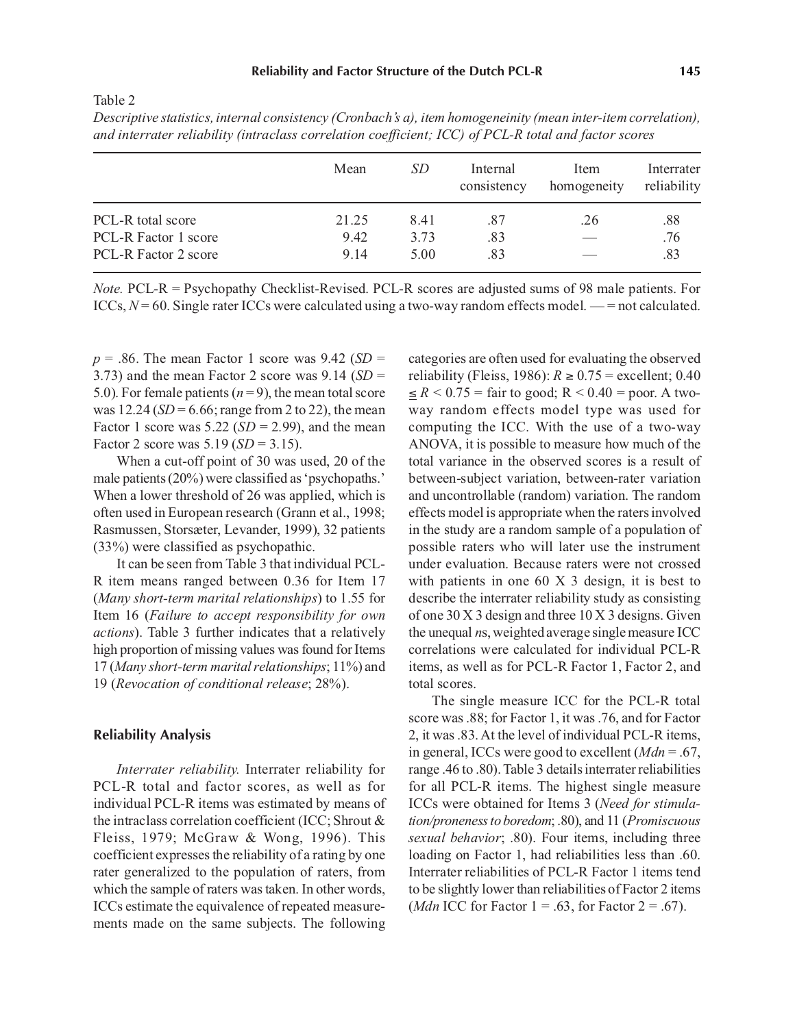Table 2

|                      | Mean  | SD   | Internal<br>consistency | Item<br>homogeneity | Interrater<br>reliability |
|----------------------|-------|------|-------------------------|---------------------|---------------------------|
| PCL-R total score    | 21.25 | 8.41 | .87                     | .26                 | .88                       |
| PCL-R Factor 1 score | 9.42  | 3.73 | .83                     |                     | .76                       |
| PCL-R Factor 2 score | 9.14  | 5.00 | .83                     |                     | .83                       |

*Descriptive statistics, internal consistency (Cronbach's a), item homogeneinity (mean inter-item correlation), and interrater reliability (intraclass correlation coefficient; ICC) of PCL-R total and factor scores*

*Note.* PCL-R = Psychopathy Checklist-Revised. PCL-R scores are adjusted sums of 98 male patients. For ICCs,  $N = 60$ . Single rater ICCs were calculated using a two-way random effects model. — = not calculated.

 $p = .86$ . The mean Factor 1 score was  $9.42$  (*SD* = 3.73) and the mean Factor 2 score was 9.14 (*SD* = 5.0). For female patients  $(n=9)$ , the mean total score was  $12.24$  (*SD* = 6.66; range from 2 to 22), the mean Factor 1 score was  $5.22$  (*SD* = 2.99), and the mean Factor 2 score was 5.19 (*SD* = 3.15).

When a cut-off point of 30 was used, 20 of the male patients (20%) were classified as 'psychopaths.' When a lower threshold of 26 was applied, which is often used in European research (Grann et al., 1998; Rasmussen, Storsæter, Levander, 1999), 32 patients (33%) were classified as psychopathic.

It can be seen from Table 3 that individual PCL-R item means ranged between 0.36 for Item 17 (*Many short-term marital relationships*) to 1.55 for Item 16 (*Failure to accept responsibility for own actions*). Table 3 further indicates that a relatively high proportion of missing values was found for Items 17 (*Many short-term marital relationships*; 11%) and 19 (*Revocation of conditional release*; 28%).

## **Reliability Analysis**

*Interrater reliability.* Interrater reliability for PCL-R total and factor scores, as well as for individual PCL-R items was estimated by means of the intraclass correlation coefficient (ICC; Shrout & Fleiss, 1979; McGraw & Wong, 1996). This coefficient expresses the reliability of a rating by one rater generalized to the population of raters, from which the sample of raters was taken. In other words, ICCs estimate the equivalence of repeated measurements made on the same subjects. The following

categories are often used for evaluating the observed reliability (Fleiss, 1986):  $R \ge 0.75$  = excellent; 0.40 ≤  $R$  < 0.75 = fair to good; R < 0.40 = poor. A twoway random effects model type was used for computing the ICC. With the use of a two-way ANOVA, it is possible to measure how much of the total variance in the observed scores is a result of between-subject variation, between-rater variation and uncontrollable (random) variation. The random effects model is appropriate when the raters involved in the study are a random sample of a population of possible raters who will later use the instrument under evaluation. Because raters were not crossed with patients in one 60 X 3 design, it is best to describe the interrater reliability study as consisting of one 30 X 3 design and three 10 X 3 designs. Given the unequal *n*s, weighted average single measure ICC correlations were calculated for individual PCL-R items, as well as for PCL-R Factor 1, Factor 2, and total scores.

The single measure ICC for the PCL-R total score was .88; for Factor 1, it was .76, and for Factor 2, it was .83. At the level of individual PCL-R items, in general, ICCs were good to excellent (*Mdn* = .67, range .46 to .80). Table 3 details interrater reliabilities for all PCL-R items. The highest single measure ICCs were obtained for Items 3 (*Need for stimulation/proneness to boredom*; .80), and 11 (*Promiscuous sexual behavior*; .80). Four items, including three loading on Factor 1, had reliabilities less than .60. Interrater reliabilities of PCL-R Factor 1 items tend to be slightly lower than reliabilities of Factor 2 items (*Mdn* ICC for Factor  $1 = .63$ , for Factor  $2 = .67$ ).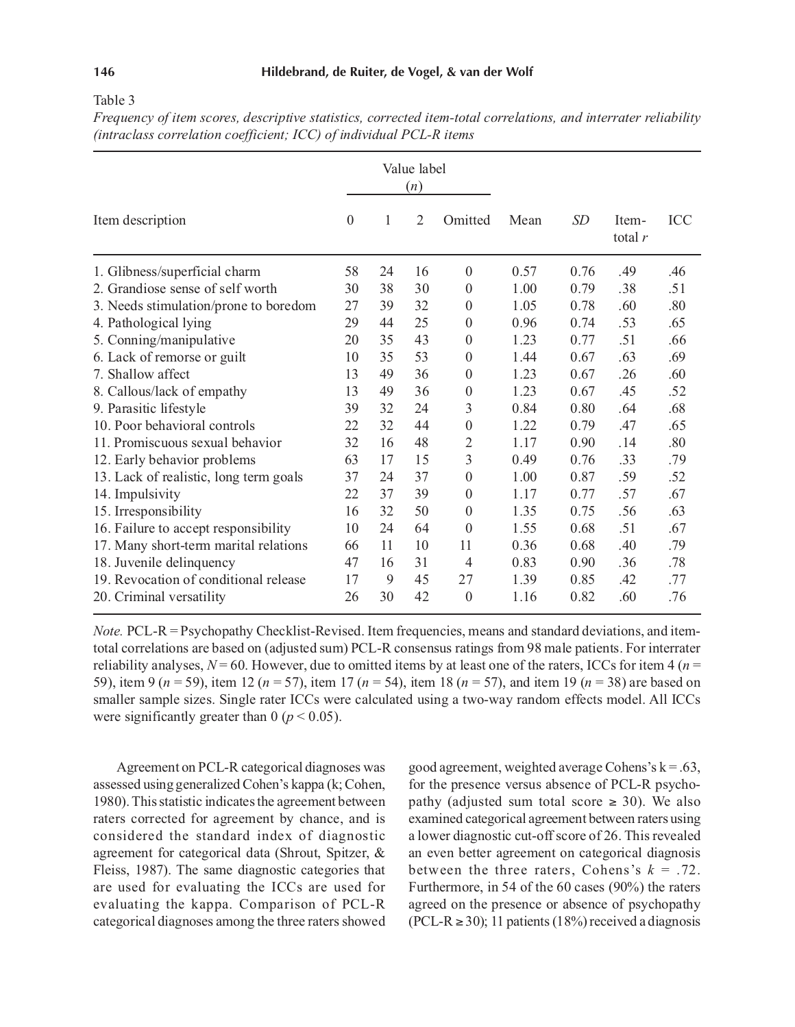## Table 3

*Frequency of item scores, descriptive statistics, corrected item-total correlations, and interrater reliability (intraclass correlation coefficient; ICC) of individual PCL-R items*

|                                        | Value label<br>(n) |    |                |                  |      |      |                    |            |
|----------------------------------------|--------------------|----|----------------|------------------|------|------|--------------------|------------|
| Item description                       | $\theta$           | 1  | $\overline{2}$ | Omitted          | Mean | SD   | Item-<br>total $r$ | <b>ICC</b> |
| 1. Glibness/superficial charm          | 58                 | 24 | 16             | $\boldsymbol{0}$ | 0.57 | 0.76 | .49                | .46        |
| 2. Grandiose sense of self worth       | 30                 | 38 | 30             | $\boldsymbol{0}$ | 1.00 | 0.79 | .38                | .51        |
| 3. Needs stimulation/prone to boredom  | 27                 | 39 | 32             | $\theta$         | 1.05 | 0.78 | .60                | .80        |
| 4. Pathological lying                  | 29                 | 44 | 25             | $\boldsymbol{0}$ | 0.96 | 0.74 | .53                | .65        |
| 5. Conning/manipulative                | 20                 | 35 | 43             | $\boldsymbol{0}$ | 1.23 | 0.77 | .51                | .66        |
| 6. Lack of remorse or guilt            | 10                 | 35 | 53             | $\boldsymbol{0}$ | 1.44 | 0.67 | .63                | .69        |
| 7. Shallow affect                      | 13                 | 49 | 36             | $\boldsymbol{0}$ | 1.23 | 0.67 | .26                | .60        |
| 8. Callous/lack of empathy             | 13                 | 49 | 36             | $\theta$         | 1.23 | 0.67 | .45                | .52        |
| 9. Parasitic lifestyle                 | 39                 | 32 | 24             | 3                | 0.84 | 0.80 | .64                | .68        |
| 10. Poor behavioral controls           | 22                 | 32 | 44             | $\boldsymbol{0}$ | 1.22 | 0.79 | .47                | .65        |
| 11. Promiscuous sexual behavior        | 32                 | 16 | 48             | 2                | 1.17 | 0.90 | .14                | .80        |
| 12. Early behavior problems            | 63                 | 17 | 15             | 3                | 0.49 | 0.76 | .33                | .79        |
| 13. Lack of realistic, long term goals | 37                 | 24 | 37             | $\boldsymbol{0}$ | 1.00 | 0.87 | .59                | .52        |
| 14. Impulsivity                        | 22                 | 37 | 39             | $\boldsymbol{0}$ | 1.17 | 0.77 | .57                | .67        |
| 15. Irresponsibility                   | 16                 | 32 | 50             | $\boldsymbol{0}$ | 1.35 | 0.75 | .56                | .63        |
| 16. Failure to accept responsibility   | 10                 | 24 | 64             | $\boldsymbol{0}$ | 1.55 | 0.68 | .51                | .67        |
| 17. Many short-term marital relations  | 66                 | 11 | 10             | 11               | 0.36 | 0.68 | .40                | .79        |
| 18. Juvenile delinquency               | 47                 | 16 | 31             | 4                | 0.83 | 0.90 | .36                | .78        |
| 19. Revocation of conditional release  | 17                 | 9  | 45             | 27               | 1.39 | 0.85 | .42                | .77        |
| 20. Criminal versatility               | 26                 | 30 | 42             | $\boldsymbol{0}$ | 1.16 | 0.82 | .60                | .76        |

*Note.* PCL-R = Psychopathy Checklist-Revised. Item frequencies, means and standard deviations, and itemtotal correlations are based on (adjusted sum) PCL-R consensus ratings from 98 male patients. For interrater reliability analyses,  $N = 60$ . However, due to omitted items by at least one of the raters, ICCs for item 4 ( $n =$ 59), item 9 (*n* = 59), item 12 (*n* = 57), item 17 (*n* = 54), item 18 (*n* = 57), and item 19 (*n* = 38) are based on smaller sample sizes. Single rater ICCs were calculated using a two-way random effects model. All ICCs were significantly greater than  $0 (p \le 0.05)$ .

Agreement on PCL-R categorical diagnoses was assessed using generalized Cohen's kappa (k; Cohen, 1980). This statistic indicates the agreement between raters corrected for agreement by chance, and is considered the standard index of diagnostic agreement for categorical data (Shrout, Spitzer, & Fleiss, 1987). The same diagnostic categories that are used for evaluating the ICCs are used for evaluating the kappa. Comparison of PCL-R categorical diagnoses among the three raters showed good agreement, weighted average Cohens's  $k = .63$ , for the presence versus absence of PCL-R psychopathy (adjusted sum total score  $\geq$  30). We also examined categorical agreement between raters using a lower diagnostic cut-off score of 26. This revealed an even better agreement on categorical diagnosis between the three raters, Cohens's  $k = .72$ . Furthermore, in 54 of the 60 cases (90%) the raters agreed on the presence or absence of psychopathy (PCL-R  $\ge$  30); 11 patients (18%) received a diagnosis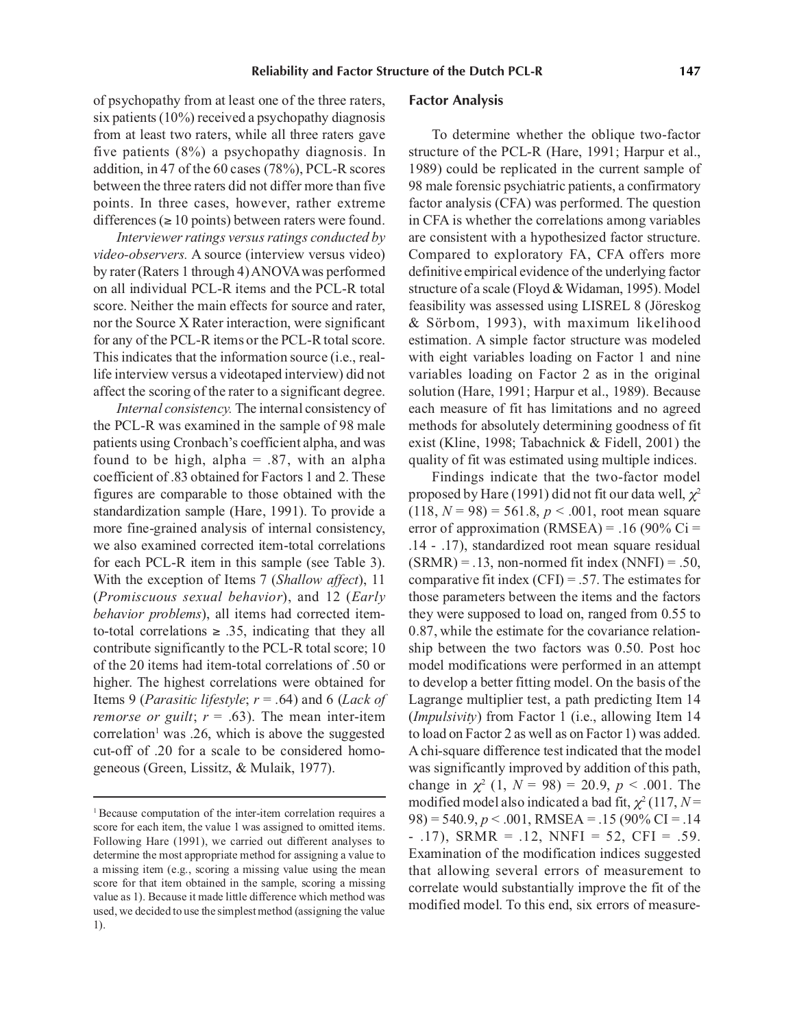of psychopathy from at least one of the three raters, six patients (10%) received a psychopathy diagnosis from at least two raters, while all three raters gave five patients (8%) a psychopathy diagnosis. In addition, in 47 of the 60 cases (78%), PCL-R scores between the three raters did not differ more than five points. In three cases, however, rather extreme differences ( $\geq 10$  points) between raters were found.

*Interviewer ratings versus ratings conducted by video-observers.* A source (interview versus video) by rater (Raters 1 through 4) ANOVA was performed on all individual PCL-R items and the PCL-R total score. Neither the main effects for source and rater, nor the Source X Rater interaction, were significant for any of the PCL-R items or the PCL-R total score. This indicates that the information source (i.e., reallife interview versus a videotaped interview) did not affect the scoring of the rater to a significant degree.

*Internal consistency.* The internal consistency of the PCL-R was examined in the sample of 98 male patients using Cronbach's coefficient alpha, and was found to be high, alpha  $= .87$ , with an alpha coefficient of .83 obtained for Factors 1 and 2. These figures are comparable to those obtained with the standardization sample (Hare, 1991). To provide a more fine-grained analysis of internal consistency, we also examined corrected item-total correlations for each PCL-R item in this sample (see Table 3). With the exception of Items 7 (*Shallow affect*), 11 (*Promiscuous sexual behavior*), and 12 (*Early behavior problems*), all items had corrected itemto-total correlations  $\geq$  .35, indicating that they all contribute significantly to the PCL-R total score; 10 of the 20 items had item-total correlations of .50 or higher. The highest correlations were obtained for Items 9 (*Parasitic lifestyle*; *r* = .64) and 6 (*Lack of remorse or guilt*;  $r = .63$ ). The mean inter-item correlation<sup>1</sup> was .26, which is above the suggested cut-off of .20 for a scale to be considered homogeneous (Green, Lissitz, & Mulaik, 1977).

# **Factor Analysis**

To determine whether the oblique two-factor structure of the PCL-R (Hare, 1991; Harpur et al., 1989) could be replicated in the current sample of 98 male forensic psychiatric patients, a confirmatory factor analysis (CFA) was performed. The question in CFA is whether the correlations among variables are consistent with a hypothesized factor structure. Compared to exploratory FA, CFA offers more definitive empirical evidence of the underlying factor structure of a scale (Floyd & Widaman, 1995). Model feasibility was assessed using LISREL 8 (Jöreskog & Sörbom, 1993), with maximum likelihood estimation. A simple factor structure was modeled with eight variables loading on Factor 1 and nine variables loading on Factor 2 as in the original solution (Hare, 1991; Harpur et al., 1989). Because each measure of fit has limitations and no agreed methods for absolutely determining goodness of fit exist (Kline, 1998; Tabachnick & Fidell, 2001) the quality of fit was estimated using multiple indices.

Findings indicate that the two-factor model proposed by Hare (1991) did not fit our data well,  $\chi^2$  $(118, N = 98) = 561.8, p < .001$ , root mean square error of approximation (RMSEA) = .16 (90% Ci = .14 - .17), standardized root mean square residual  $(SRMR) = .13$ , non-normed fit index  $(NNFI) = .50$ , comparative fit index  $(CFI) = .57$ . The estimates for those parameters between the items and the factors they were supposed to load on, ranged from 0.55 to 0.87, while the estimate for the covariance relationship between the two factors was 0.50. Post hoc model modifications were performed in an attempt to develop a better fitting model. On the basis of the Lagrange multiplier test, a path predicting Item 14 (*Impulsivity*) from Factor 1 (i.e., allowing Item 14 to load on Factor 2 as well as on Factor 1) was added. A chi-square difference test indicated that the model was significantly improved by addition of this path, change in  $\chi^2$  (1,  $N = 98$ ) = 20.9,  $p < .001$ . The modified model also indicated a bad fit,  $\chi^2$  (117, *N* =  $98$ ) = 540.9,  $p < .001$ , RMSEA = .15 (90% CI = .14)  $-$ .17), SRMR = .12, NNFI = 52, CFI = .59. Examination of the modification indices suggested that allowing several errors of measurement to correlate would substantially improve the fit of the modified model. To this end, six errors of measure-

<sup>&</sup>lt;sup>1</sup> Because computation of the inter-item correlation requires a score for each item, the value 1 was assigned to omitted items. Following Hare (1991), we carried out different analyses to determine the most appropriate method for assigning a value to a missing item (e.g., scoring a missing value using the mean score for that item obtained in the sample, scoring a missing value as 1). Because it made little difference which method was used, we decided to use the simplest method (assigning the value 1).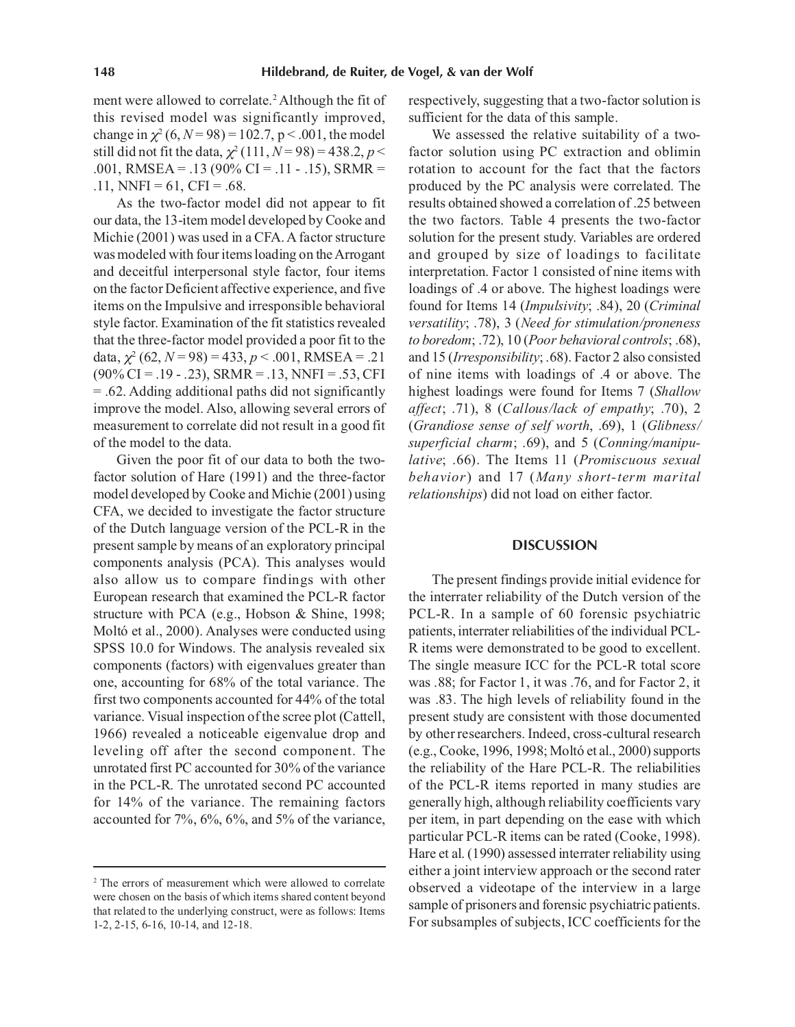ment were allowed to correlate.<sup>2</sup> Although the fit of this revised model was significantly improved, change in  $\chi^2$  (6, *N* = 98) = 102.7, p < .001, the model still did not fit the data,  $\chi^2$  (111, *N* = 98) = 438.2, *p* < .001, RMSEA = .13 (90% CI = .11 - .15), SRMR =  $.11$ , NNFI = 61, CFI = .68.

As the two-factor model did not appear to fit our data, the 13-item model developed by Cooke and Michie (2001) was used in a CFA. A factor structure was modeled with four items loading on the Arrogant and deceitful interpersonal style factor, four items on the factor Deficient affective experience, and five items on the Impulsive and irresponsible behavioral style factor. Examination of the fit statistics revealed that the three-factor model provided a poor fit to the data,  $\chi^2$  (62, *N* = 98) = 433, *p* < .001, RMSEA = .21  $(90\% \text{ CI} = .19 - .23)$ , SRMR =  $.13$ , NNFI =  $.53$ , CFI = .62. Adding additional paths did not significantly improve the model. Also, allowing several errors of measurement to correlate did not result in a good fit of the model to the data.

Given the poor fit of our data to both the twofactor solution of Hare (1991) and the three-factor model developed by Cooke and Michie (2001) using CFA, we decided to investigate the factor structure of the Dutch language version of the PCL-R in the present sample by means of an exploratory principal components analysis (PCA). This analyses would also allow us to compare findings with other European research that examined the PCL-R factor structure with PCA (e.g., Hobson & Shine, 1998; Moltó et al., 2000). Analyses were conducted using SPSS 10.0 for Windows. The analysis revealed six components (factors) with eigenvalues greater than one, accounting for 68% of the total variance. The first two components accounted for 44% of the total variance. Visual inspection of the scree plot (Cattell, 1966) revealed a noticeable eigenvalue drop and leveling off after the second component. The unrotated first PC accounted for 30% of the variance in the PCL-R. The unrotated second PC accounted for 14% of the variance. The remaining factors accounted for 7%, 6%, 6%, and 5% of the variance, respectively, suggesting that a two-factor solution is sufficient for the data of this sample.

We assessed the relative suitability of a twofactor solution using PC extraction and oblimin rotation to account for the fact that the factors produced by the PC analysis were correlated. The results obtained showed a correlation of .25 between the two factors. Table 4 presents the two-factor solution for the present study. Variables are ordered and grouped by size of loadings to facilitate interpretation. Factor 1 consisted of nine items with loadings of .4 or above. The highest loadings were found for Items 14 (*Impulsivity*; .84), 20 (*Criminal versatility*; .78), 3 (*Need for stimulation/proneness to boredom*; .72), 10 (*Poor behavioral controls*; .68), and 15 (*Irresponsibility*; .68). Factor 2 also consisted of nine items with loadings of .4 or above. The highest loadings were found for Items 7 (*Shallow affect*; .71), 8 (*Callous/lack of empathy*; .70), 2 (*Grandiose sense of self worth*, .69), 1 (*Glibness/ superficial charm*; .69), and 5 (*Conning/manipulative*; .66). The Items 11 (*Promiscuous sexual behavior*) and 17 (*Many short-term marital relationships*) did not load on either factor.

#### **DISCUSSION**

The present findings provide initial evidence for the interrater reliability of the Dutch version of the PCL-R. In a sample of 60 forensic psychiatric patients, interrater reliabilities of the individual PCL-R items were demonstrated to be good to excellent. The single measure ICC for the PCL-R total score was .88; for Factor 1, it was .76, and for Factor 2, it was .83. The high levels of reliability found in the present study are consistent with those documented by other researchers. Indeed, cross-cultural research (e.g., Cooke, 1996, 1998; Moltó et al., 2000) supports the reliability of the Hare PCL-R. The reliabilities of the PCL-R items reported in many studies are generally high, although reliability coefficients vary per item, in part depending on the ease with which particular PCL-R items can be rated (Cooke, 1998). Hare et al. (1990) assessed interrater reliability using either a joint interview approach or the second rater observed a videotape of the interview in a large sample of prisoners and forensic psychiatric patients. For subsamples of subjects, ICC coefficients for the

<sup>2</sup> The errors of measurement which were allowed to correlate were chosen on the basis of which items shared content beyond that related to the underlying construct, were as follows: Items 1-2, 2-15, 6-16, 10-14, and 12-18.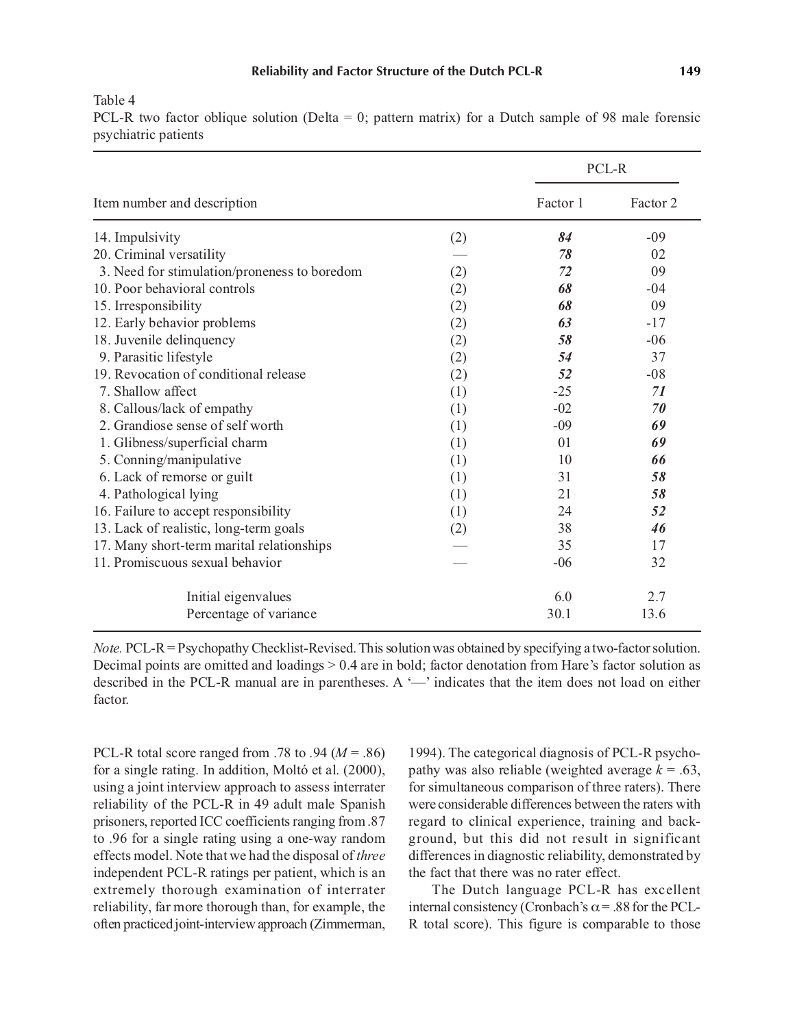Table 4

PCL-R two factor oblique solution (Delta  $= 0$ ; pattern matrix) for a Dutch sample of 98 male forensic psychiatric patients

|                                              |     |          | PCL-R    |  |  |
|----------------------------------------------|-----|----------|----------|--|--|
| Item number and description                  |     | Factor 1 | Factor 2 |  |  |
| 14. Impulsivity                              | (2) | 84       | $-09$    |  |  |
| 20. Criminal versatility                     |     | 78       | 02       |  |  |
| 3. Need for stimulation/proneness to boredom | (2) | 72       | 09       |  |  |
| 10. Poor behavioral controls                 | (2) | 68       | $-04$    |  |  |
| 15. Irresponsibility                         | (2) | 68       | 09       |  |  |
| 12. Early behavior problems                  | (2) | 63       | $-17$    |  |  |
| 18. Juvenile delinquency                     | (2) | 58       | $-06$    |  |  |
| 9. Parasitic lifestyle                       | (2) | 54       | 37       |  |  |
| 19. Revocation of conditional release        | (2) | 52       | $-08$    |  |  |
| 7. Shallow affect                            | (1) | $-25$    | 71       |  |  |
| 8. Callous/lack of empathy                   | (1) | $-02$    | 70       |  |  |
| 2. Grandiose sense of self worth             | (1) | $-09$    | 69       |  |  |
| 1. Glibness/superficial charm                | (1) | 01       | 69       |  |  |
| 5. Conning/manipulative                      | (1) | 10       | 66       |  |  |
| 6. Lack of remorse or guilt                  | (1) | 31       | 58       |  |  |
| 4. Pathological lying                        | (1) | 21       | 58       |  |  |
| 16. Failure to accept responsibility         | (1) | 24       | 52       |  |  |
| 13. Lack of realistic, long-term goals       | (2) | 38       | 46       |  |  |
| 17. Many short-term marital relationships    |     | 35       | 17       |  |  |
| 11. Promiscuous sexual behavior              |     | $-06$    | 32       |  |  |
| Initial eigenvalues                          |     | 6.0      | 2.7      |  |  |
| Percentage of variance                       |     | 30.1     | 13.6     |  |  |

*Note.* PCL-R = Psychopathy Checklist-Revised. This solution was obtained by specifying a two-factor solution. Decimal points are omitted and loadings > 0.4 are in bold; factor denotation from Hare's factor solution as described in the PCL-R manual are in parentheses. A '—' indicates that the item does not load on either factor.

PCL-R total score ranged from .78 to .94 (*M* = .86) for a single rating. In addition, Moltó et al. (2000), using a joint interview approach to assess interrater reliability of the PCL-R in 49 adult male Spanish prisoners, reported ICC coefficients ranging from .87 to .96 for a single rating using a one-way random effects model. Note that we had the disposal of *three* independent PCL-R ratings per patient, which is an extremely thorough examination of interrater reliability, far more thorough than, for example, the often practiced joint-interview approach (Zimmerman,

1994). The categorical diagnosis of PCL-R psychopathy was also reliable (weighted average  $k = .63$ , for simultaneous comparison of three raters). There were considerable differences between the raters with regard to clinical experience, training and background, but this did not result in significant differences in diagnostic reliability, demonstrated by the fact that there was no rater effect.

The Dutch language PCL-R has excellent internal consistency (Cronbach's  $\alpha$  = .88 for the PCL-R total score). This figure is comparable to those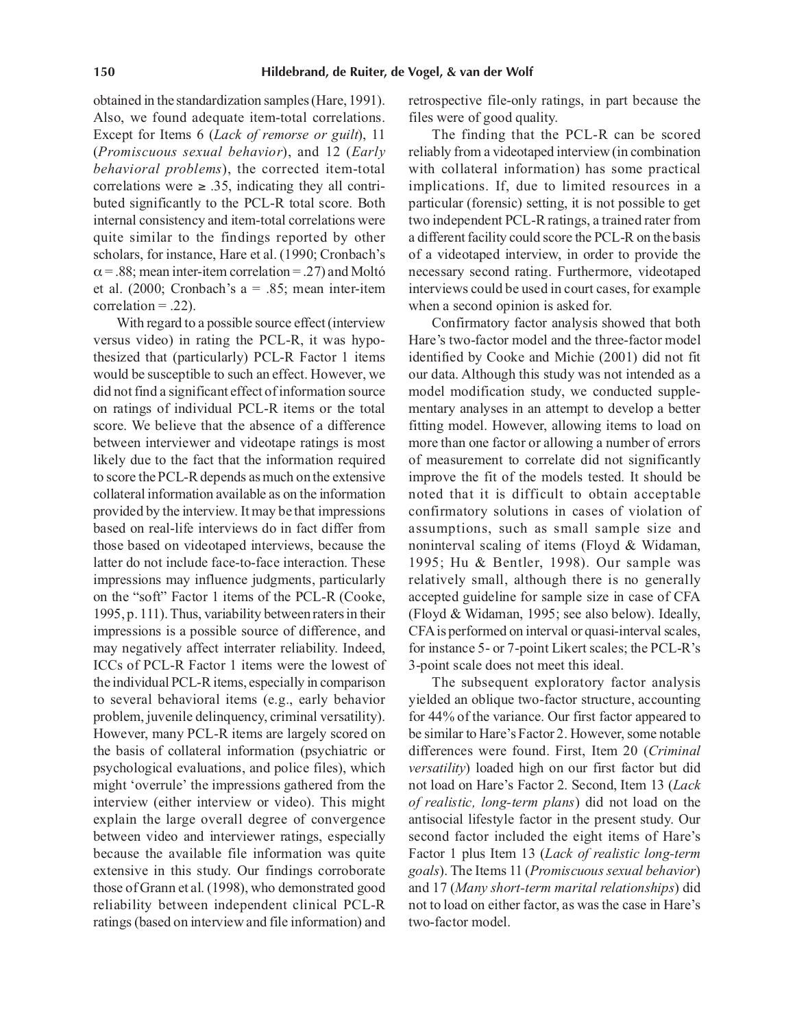obtained in the standardization samples (Hare, 1991). Also, we found adequate item-total correlations. Except for Items 6 (*Lack of remorse or guilt*), 11 (*Promiscuous sexual behavior*), and 12 (*Early behavioral problems*), the corrected item-total correlations were  $\geq$  .35, indicating they all contributed significantly to the PCL-R total score. Both internal consistency and item-total correlations were quite similar to the findings reported by other scholars, for instance, Hare et al. (1990; Cronbach's  $\alpha$  = .88; mean inter-item correlation = .27) and Moltó et al. (2000; Cronbach's a = .85; mean inter-item correlation  $= .22$ ).

With regard to a possible source effect (interview versus video) in rating the PCL-R, it was hypothesized that (particularly) PCL-R Factor 1 items would be susceptible to such an effect. However, we did not find a significant effect of information source on ratings of individual PCL-R items or the total score. We believe that the absence of a difference between interviewer and videotape ratings is most likely due to the fact that the information required to score the PCL-R depends as much on the extensive collateral information available as on the information provided by the interview. It may be that impressions based on real-life interviews do in fact differ from those based on videotaped interviews, because the latter do not include face-to-face interaction. These impressions may influence judgments, particularly on the "soft" Factor 1 items of the PCL-R (Cooke, 1995, p. 111). Thus, variability between raters in their impressions is a possible source of difference, and may negatively affect interrater reliability. Indeed, ICCs of PCL-R Factor 1 items were the lowest of the individual PCL-R items, especially in comparison to several behavioral items (e.g., early behavior problem, juvenile delinquency, criminal versatility). However, many PCL-R items are largely scored on the basis of collateral information (psychiatric or psychological evaluations, and police files), which might 'overrule' the impressions gathered from the interview (either interview or video). This might explain the large overall degree of convergence between video and interviewer ratings, especially because the available file information was quite extensive in this study. Our findings corroborate those of Grann et al. (1998), who demonstrated good reliability between independent clinical PCL-R ratings (based on interview and file information) and

retrospective file-only ratings, in part because the files were of good quality.

The finding that the PCL-R can be scored reliably from a videotaped interview (in combination with collateral information) has some practical implications. If, due to limited resources in a particular (forensic) setting, it is not possible to get two independent PCL-R ratings, a trained rater from a different facility could score the PCL-R on the basis of a videotaped interview, in order to provide the necessary second rating. Furthermore, videotaped interviews could be used in court cases, for example when a second opinion is asked for.

Confirmatory factor analysis showed that both Hare's two-factor model and the three-factor model identified by Cooke and Michie (2001) did not fit our data. Although this study was not intended as a model modification study, we conducted supplementary analyses in an attempt to develop a better fitting model. However, allowing items to load on more than one factor or allowing a number of errors of measurement to correlate did not significantly improve the fit of the models tested. It should be noted that it is difficult to obtain acceptable confirmatory solutions in cases of violation of assumptions, such as small sample size and noninterval scaling of items (Floyd & Widaman, 1995; Hu & Bentler, 1998). Our sample was relatively small, although there is no generally accepted guideline for sample size in case of CFA (Floyd & Widaman, 1995; see also below). Ideally, CFA is performed on interval or quasi-interval scales, for instance 5- or 7-point Likert scales; the PCL-R's 3-point scale does not meet this ideal.

The subsequent exploratory factor analysis yielded an oblique two-factor structure, accounting for 44% of the variance. Our first factor appeared to be similar to Hare's Factor 2. However, some notable differences were found. First, Item 20 (*Criminal versatility*) loaded high on our first factor but did not load on Hare's Factor 2. Second, Item 13 (*Lack of realistic, long-term plans*) did not load on the antisocial lifestyle factor in the present study. Our second factor included the eight items of Hare's Factor 1 plus Item 13 (*Lack of realistic long-term goals*). The Items 11 (*Promiscuous sexual behavior*) and 17 (*Many short-term marital relationships*) did not to load on either factor, as was the case in Hare's two-factor model.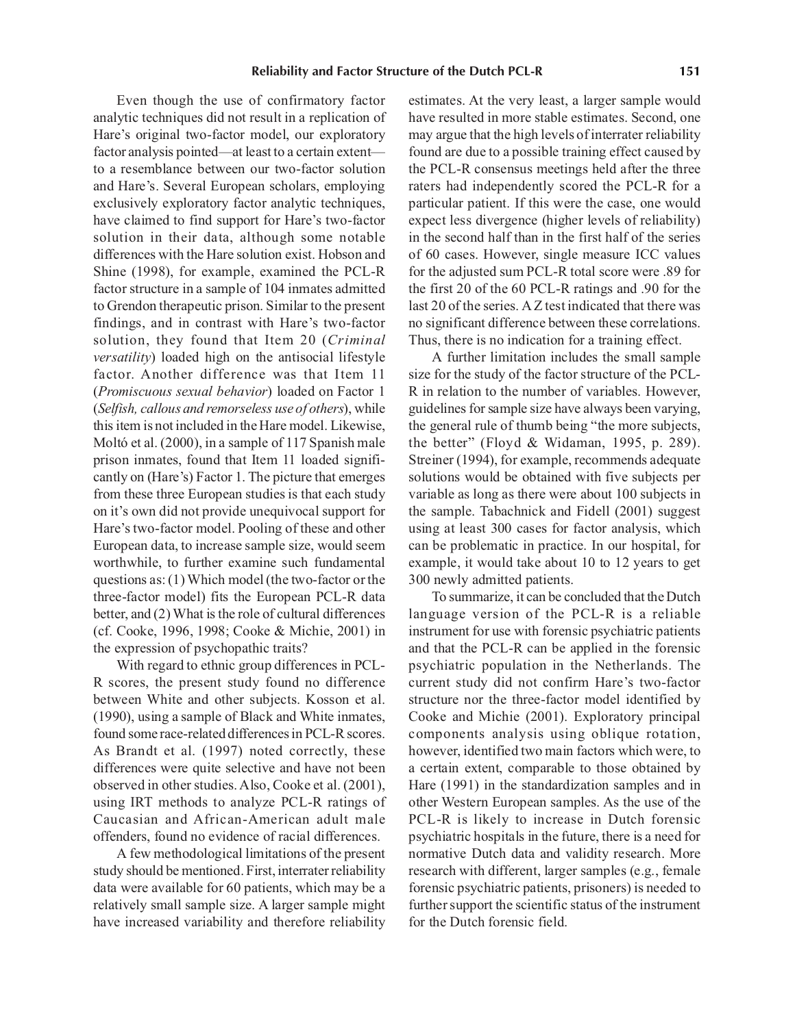Even though the use of confirmatory factor analytic techniques did not result in a replication of Hare's original two-factor model, our exploratory factor analysis pointed—at least to a certain extent to a resemblance between our two-factor solution and Hare's. Several European scholars, employing exclusively exploratory factor analytic techniques, have claimed to find support for Hare's two-factor solution in their data, although some notable differences with the Hare solution exist. Hobson and Shine (1998), for example, examined the PCL-R factor structure in a sample of 104 inmates admitted to Grendon therapeutic prison. Similar to the present findings, and in contrast with Hare's two-factor solution, they found that Item 20 (*Criminal versatility*) loaded high on the antisocial lifestyle factor. Another difference was that Item 11 (*Promiscuous sexual behavior*) loaded on Factor 1 (*Selfish, callous and remorseless use of others*), while this item is not included in the Hare model. Likewise, Moltó et al. (2000), in a sample of 117 Spanish male prison inmates, found that Item 11 loaded significantly on (Hare's) Factor 1. The picture that emerges from these three European studies is that each study on it's own did not provide unequivocal support for Hare's two-factor model. Pooling of these and other European data, to increase sample size, would seem worthwhile, to further examine such fundamental questions as: (1) Which model (the two-factor or the three-factor model) fits the European PCL-R data better, and (2) What is the role of cultural differences (cf. Cooke, 1996, 1998; Cooke & Michie, 2001) in the expression of psychopathic traits?

With regard to ethnic group differences in PCL-R scores, the present study found no difference between White and other subjects. Kosson et al. (1990), using a sample of Black and White inmates, found some race-related differences in PCL-R scores. As Brandt et al. (1997) noted correctly, these differences were quite selective and have not been observed in other studies. Also, Cooke et al. (2001), using IRT methods to analyze PCL-R ratings of Caucasian and African-American adult male offenders, found no evidence of racial differences.

A few methodological limitations of the present study should be mentioned. First, interrater reliability data were available for 60 patients, which may be a relatively small sample size. A larger sample might have increased variability and therefore reliability estimates. At the very least, a larger sample would have resulted in more stable estimates. Second, one may argue that the high levels of interrater reliability found are due to a possible training effect caused by the PCL-R consensus meetings held after the three raters had independently scored the PCL-R for a particular patient. If this were the case, one would expect less divergence (higher levels of reliability) in the second half than in the first half of the series of 60 cases. However, single measure ICC values for the adjusted sum PCL-R total score were .89 for the first 20 of the 60 PCL-R ratings and .90 for the last 20 of the series. A Z test indicated that there was no significant difference between these correlations. Thus, there is no indication for a training effect.

A further limitation includes the small sample size for the study of the factor structure of the PCL-R in relation to the number of variables. However, guidelines for sample size have always been varying, the general rule of thumb being "the more subjects, the better" (Floyd & Widaman, 1995, p. 289). Streiner (1994), for example, recommends adequate solutions would be obtained with five subjects per variable as long as there were about 100 subjects in the sample. Tabachnick and Fidell (2001) suggest using at least 300 cases for factor analysis, which can be problematic in practice. In our hospital, for example, it would take about 10 to 12 years to get 300 newly admitted patients.

To summarize, it can be concluded that the Dutch language version of the PCL-R is a reliable instrument for use with forensic psychiatric patients and that the PCL-R can be applied in the forensic psychiatric population in the Netherlands. The current study did not confirm Hare's two-factor structure nor the three-factor model identified by Cooke and Michie (2001). Exploratory principal components analysis using oblique rotation, however, identified two main factors which were, to a certain extent, comparable to those obtained by Hare (1991) in the standardization samples and in other Western European samples. As the use of the PCL-R is likely to increase in Dutch forensic psychiatric hospitals in the future, there is a need for normative Dutch data and validity research. More research with different, larger samples (e.g., female forensic psychiatric patients, prisoners) is needed to further support the scientific status of the instrument for the Dutch forensic field.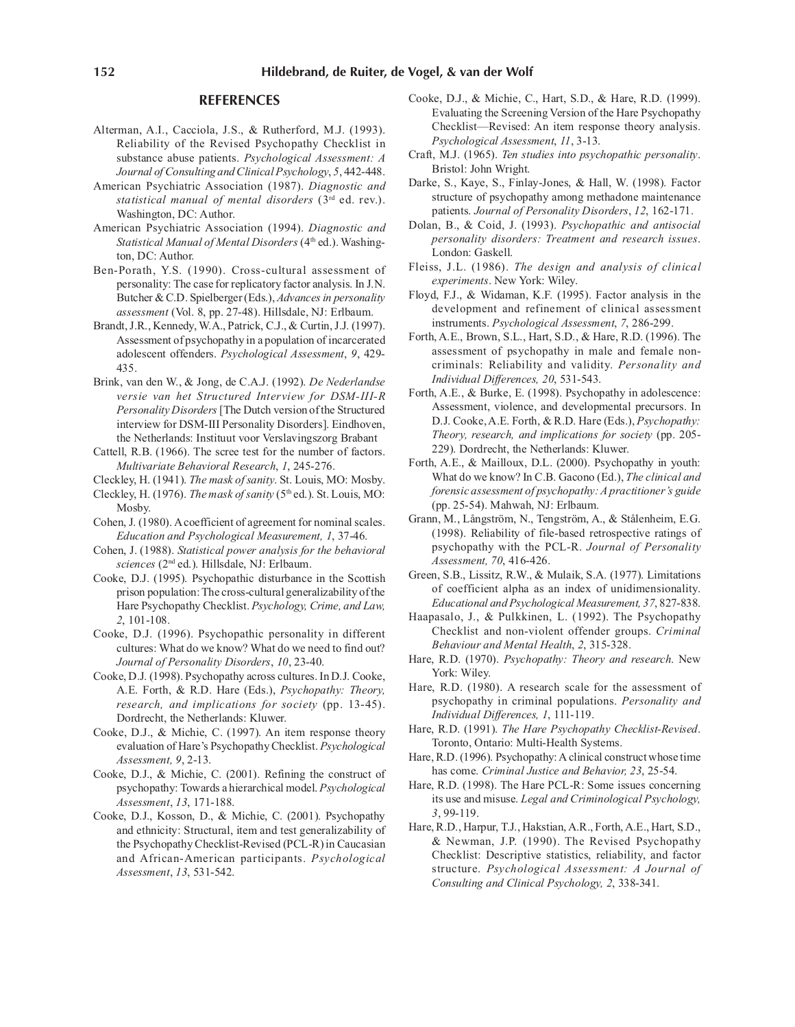#### **REFERENCES**

- Alterman, A.I., Cacciola, J.S., & Rutherford, M.J. (1993). Reliability of the Revised Psychopathy Checklist in substance abuse patients. *Psychological Assessment: A Journal of Consulting and Clinical Psychology*, *5*, 442-448.
- American Psychiatric Association (1987). *Diagnostic and statistical manual of mental disorders* (3rd ed. rev.). Washington, DC: Author.
- American Psychiatric Association (1994). *Diagnostic and* Statistical Manual of Mental Disorders (4th ed.). Washington, DC: Author.
- Ben-Porath, Y.S. (1990). Cross-cultural assessment of personality: The case for replicatory factor analysis. In J.N. Butcher & C.D. Spielberger (Eds.), *Advances in personality assessment* (Vol. 8, pp. 27-48). Hillsdale, NJ: Erlbaum.
- Brandt, J.R., Kennedy, W.A., Patrick, C.J., & Curtin, J.J. (1997). Assessment of psychopathy in a population of incarcerated adolescent offenders. *Psychological Assessment*, *9*, 429- 435.
- Brink, van den W., & Jong, de C.A.J. (1992). *De Nederlandse versie van het Structured Interview for DSM-III-R Personality Disorders*[The Dutch version of the Structured interview for DSM-III Personality Disorders]. Eindhoven, the Netherlands: Instituut voor Verslavingszorg Brabant
- Cattell, R.B. (1966). The scree test for the number of factors. *Multivariate Behavioral Research*, *1*, 245-276.
- Cleckley, H. (1941). *The mask of sanity*. St. Louis, MO: Mosby.
- Cleckley, H. (1976). *The mask of sanity* (5<sup>th</sup> ed.). St. Louis, MO: Mosby.
- Cohen, J. (1980). A coefficient of agreement for nominal scales. *Education and Psychological Measurement, 1*, 37-46.
- Cohen, J. (1988). *Statistical power analysis for the behavioral sciences* (2nd ed.). Hillsdale, NJ: Erlbaum.
- Cooke, D.J. (1995). Psychopathic disturbance in the Scottish prison population: The cross-cultural generalizability of the Hare Psychopathy Checklist. *Psychology, Crime, and Law, 2*, 101-108.
- Cooke, D.J. (1996). Psychopathic personality in different cultures: What do we know? What do we need to find out? *Journal of Personality Disorders*, *10*, 23-40.
- Cooke, D.J. (1998). Psychopathy across cultures. In D.J. Cooke, A.E. Forth, & R.D. Hare (Eds.), *Psychopathy: Theory, research, and implications for society* (pp. 13-45). Dordrecht, the Netherlands: Kluwer.
- Cooke, D.J., & Michie, C. (1997). An item response theory evaluation of Hare's Psychopathy Checklist. *Psychological Assessment, 9*, 2-13.
- Cooke, D.J., & Michie, C. (2001). Refining the construct of psychopathy: Towards a hierarchical model. *Psychological Assessment*, *13*, 171-188.
- Cooke, D.J., Kosson, D., & Michie, C. (2001). Psychopathy and ethnicity: Structural, item and test generalizability of the Psychopathy Checklist-Revised (PCL-R) in Caucasian and African-American participants. *Psychological Assessment*, *13*, 531-542.
- Cooke, D.J., & Michie, C., Hart, S.D., & Hare, R.D. (1999). Evaluating the Screening Version of the Hare Psychopathy Checklist—Revised: An item response theory analysis. *Psychological Assessment*, *11*, 3-13.
- Craft, M.J. (1965). *Ten studies into psychopathic personality*. Bristol: John Wright.
- Darke, S., Kaye, S., Finlay-Jones, & Hall, W. (1998). Factor structure of psychopathy among methadone maintenance patients. *Journal of Personality Disorders*, *12*, 162-171.
- Dolan, B., & Coid, J. (1993). *Psychopathic and antisocial personality disorders: Treatment and research issues*. London: Gaskell.
- Fleiss, J.L. (1986). *The design and analysis of clinical experiments*. New York: Wiley.
- Floyd, F.J., & Widaman, K.F. (1995). Factor analysis in the development and refinement of clinical assessment instruments. *Psychological Assessment*, *7*, 286-299.
- Forth, A.E., Brown, S.L., Hart, S.D., & Hare, R.D. (1996). The assessment of psychopathy in male and female noncriminals: Reliability and validity. *Personality and Individual Differences, 20*, 531-543.
- Forth, A.E., & Burke, E. (1998). Psychopathy in adolescence: Assessment, violence, and developmental precursors. In D.J. Cooke, A.E. Forth, & R.D. Hare (Eds.), *Psychopathy: Theory, research, and implications for society* (pp. 205- 229). Dordrecht, the Netherlands: Kluwer.
- Forth, A.E., & Mailloux, D.L. (2000). Psychopathy in youth: What do we know? In C.B. Gacono (Ed.), *The clinical and forensic assessment of psychopathy: A practitioner's guide* (pp. 25-54). Mahwah, NJ: Erlbaum.
- Grann, M., Långström, N., Tengström, A., & Stålenheim, E.G. (1998). Reliability of file-based retrospective ratings of psychopathy with the PCL-R. *Journal of Personality Assessment, 70*, 416-426.
- Green, S.B., Lissitz, R.W., & Mulaik, S.A. (1977). Limitations of coefficient alpha as an index of unidimensionality. *Educational and Psychological Measurement, 37*, 827-838.
- Haapasalo, J., & Pulkkinen, L. (1992). The Psychopathy Checklist and non-violent offender groups. *Criminal Behaviour and Mental Health*, *2*, 315-328.
- Hare, R.D. (1970). *Psychopathy: Theory and research*. New York: Wiley.
- Hare, R.D. (1980). A research scale for the assessment of psychopathy in criminal populations. *Personality and Individual Differences, 1*, 111-119.
- Hare, R.D. (1991). *The Hare Psychopathy Checklist-Revised*. Toronto, Ontario: Multi-Health Systems.
- Hare, R.D. (1996). Psychopathy: A clinical construct whose time has come. *Criminal Justice and Behavior, 23*, 25-54.
- Hare, R.D. (1998). The Hare PCL-R: Some issues concerning its use and misuse. *Legal and Criminological Psychology, 3*, 99-119.
- Hare, R.D., Harpur, T.J., Hakstian, A.R., Forth, A.E., Hart, S.D., & Newman, J.P. (1990). The Revised Psychopathy Checklist: Descriptive statistics, reliability, and factor structure. *Psychological Assessment: A Journal of Consulting and Clinical Psychology, 2*, 338-341.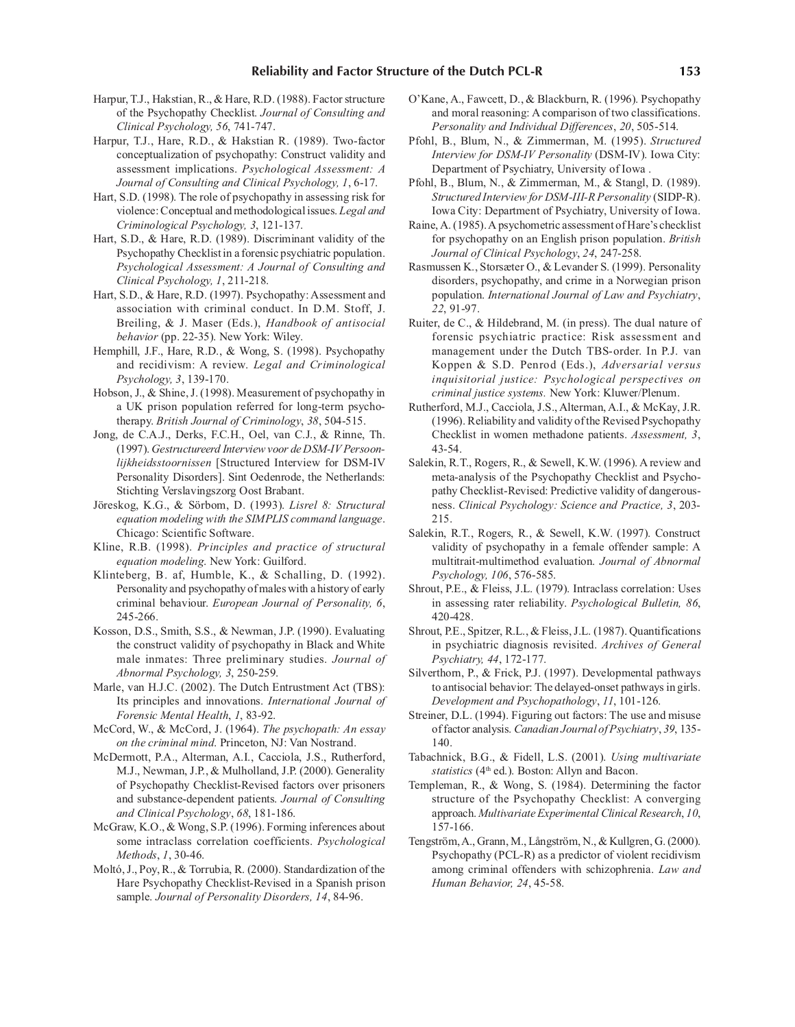- Harpur, T.J., Hakstian, R., & Hare, R.D. (1988). Factor structure of the Psychopathy Checklist. *Journal of Consulting and Clinical Psychology, 56*, 741-747.
- Harpur, T.J., Hare, R.D., & Hakstian R. (1989). Two-factor conceptualization of psychopathy: Construct validity and assessment implications. *Psychological Assessment: A Journal of Consulting and Clinical Psychology, 1*, 6-17.
- Hart, S.D. (1998). The role of psychopathy in assessing risk for violence: Conceptual and methodological issues. *Legal and Criminological Psychology, 3*, 121-137.
- Hart, S.D., & Hare, R.D. (1989). Discriminant validity of the Psychopathy Checklist in a forensic psychiatric population. *Psychological Assessment: A Journal of Consulting and Clinical Psychology, 1*, 211-218.
- Hart, S.D., & Hare, R.D. (1997). Psychopathy: Assessment and association with criminal conduct. In D.M. Stoff, J. Breiling, & J. Maser (Eds.), *Handbook of antisocial behavior* (pp. 22-35). New York: Wiley.
- Hemphill, J.F., Hare, R.D., & Wong, S. (1998). Psychopathy and recidivism: A review. *Legal and Criminological Psychology, 3*, 139-170.
- Hobson, J., & Shine, J. (1998). Measurement of psychopathy in a UK prison population referred for long-term psychotherapy. *British Journal of Criminology*, *38*, 504-515.
- Jong, de C.A.J., Derks, F.C.H., Oel, van C.J., & Rinne, Th. (1997). *Gestructureerd Interview voor de DSM-IV Persoonlijkheidsstoornissen* [Structured Interview for DSM-IV Personality Disorders]. Sint Oedenrode, the Netherlands: Stichting Verslavingszorg Oost Brabant.
- Jöreskog, K.G., & Sörbom, D. (1993). *Lisrel 8: Structural equation modeling with the SIMPLIS command language*. Chicago: Scientific Software.
- Kline, R.B. (1998). *Principles and practice of structural equation modeling*. New York: Guilford.
- Klinteberg, B. af, Humble, K., & Schalling, D. (1992). Personality and psychopathy of males with a history of early criminal behaviour. *European Journal of Personality, 6*, 245-266.
- Kosson, D.S., Smith, S.S., & Newman, J.P. (1990). Evaluating the construct validity of psychopathy in Black and White male inmates: Three preliminary studies. *Journal of Abnormal Psychology, 3*, 250-259.
- Marle, van H.J.C. (2002). The Dutch Entrustment Act (TBS): Its principles and innovations. *International Journal of Forensic Mental Health*, *1*, 83-92.
- McCord, W., & McCord, J. (1964). *The psychopath: An essay on the criminal mind*. Princeton, NJ: Van Nostrand.
- McDermott, P.A., Alterman, A.I., Cacciola, J.S., Rutherford, M.J., Newman, J.P., & Mulholland, J.P. (2000). Generality of Psychopathy Checklist-Revised factors over prisoners and substance-dependent patients. *Journal of Consulting and Clinical Psychology*, *68*, 181-186.
- McGraw, K.O., & Wong, S.P. (1996). Forming inferences about some intraclass correlation coefficients. *Psychological Methods*, *1*, 30-46.
- Moltó, J., Poy, R., & Torrubia, R. (2000). Standardization of the Hare Psychopathy Checklist-Revised in a Spanish prison sample. *Journal of Personality Disorders, 14*, 84-96.
- O'Kane, A., Fawcett, D., & Blackburn, R. (1996). Psychopathy and moral reasoning: A comparison of two classifications. *Personality and Individual Differences*, *20*, 505-514.
- Pfohl, B., Blum, N., & Zimmerman, M. (1995). *Structured Interview for DSM-IV Personality* (DSM-IV). Iowa City: Department of Psychiatry, University of Iowa .
- Pfohl, B., Blum, N., & Zimmerman, M., & Stangl, D. (1989). *Structured Interview for DSM-III-R Personality* (SIDP-R). Iowa City: Department of Psychiatry, University of Iowa.
- Raine, A. (1985). A psychometric assessment of Hare's checklist for psychopathy on an English prison population. *British Journal of Clinical Psychology*, *24*, 247-258.
- Rasmussen K., Storsæter O., & Levander S. (1999). Personality disorders, psychopathy, and crime in a Norwegian prison population. *International Journal of Law and Psychiatry*, *22*, 91-97.
- Ruiter, de C., & Hildebrand, M. (in press). The dual nature of forensic psychiatric practice: Risk assessment and management under the Dutch TBS-order. In P.J. van Koppen & S.D. Penrod (Eds.), *Adversarial versus inquisitorial justice: Psychological perspectives on criminal justice systems.* New York: Kluwer/Plenum.
- Rutherford, M.J., Cacciola, J.S., Alterman, A.I., & McKay, J.R. (1996). Reliability and validity of the Revised Psychopathy Checklist in women methadone patients. *Assessment, 3*, 43-54.
- Salekin, R.T., Rogers, R., & Sewell, K.W. (1996). A review and meta-analysis of the Psychopathy Checklist and Psychopathy Checklist-Revised: Predictive validity of dangerousness. *Clinical Psychology: Science and Practice, 3*, 203- 215.
- Salekin, R.T., Rogers, R., & Sewell, K.W. (1997). Construct validity of psychopathy in a female offender sample: A multitrait-multimethod evaluation. *Journal of Abnormal Psychology, 106*, 576-585.
- Shrout, P.E., & Fleiss, J.L. (1979). Intraclass correlation: Uses in assessing rater reliability. *Psychological Bulletin, 86*, 420-428.
- Shrout, P.E., Spitzer, R.L., & Fleiss, J.L. (1987). Quantifications in psychiatric diagnosis revisited. *Archives of General Psychiatry, 44*, 172-177.
- Silverthorn, P., & Frick, P.J. (1997). Developmental pathways to antisocial behavior: The delayed-onset pathways in girls. *Development and Psychopathology*, *11*, 101-126.
- Streiner, D.L. (1994). Figuring out factors: The use and misuse of factor analysis. *Canadian Journal of Psychiatry*, *39*, 135- 140.
- Tabachnick, B.G., & Fidell, L.S. (2001). *Using multivariate* statistics (4<sup>th</sup> ed.). Boston: Allyn and Bacon.
- Templeman, R., & Wong, S. (1984). Determining the factor structure of the Psychopathy Checklist: A converging approach. *Multivariate Experimental Clinical Research*, *10*, 157-166.
- Tengström, A., Grann, M., Långström, N., & Kullgren, G. (2000). Psychopathy (PCL-R) as a predictor of violent recidivism among criminal offenders with schizophrenia. *Law and Human Behavior, 24*, 45-58.